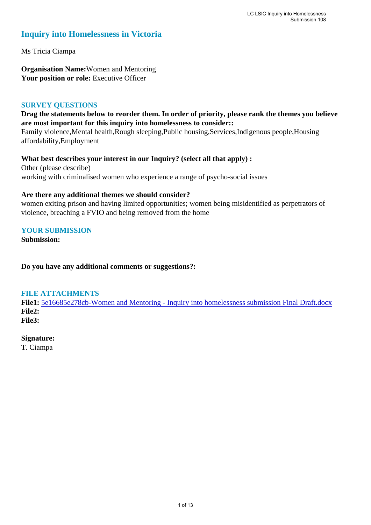# **Inquiry into Homelessness in Victoria**

Ms Tricia Ciampa

**Organisation Name:**Women and Mentoring Your position or role: Executive Officer

## **SURVEY QUESTIONS**

## **Drag the statements below to reorder them. In order of priority, please rank the themes you believe are most important for this inquiry into homelessness to consider::**

Family violence,Mental health,Rough sleeping,Public housing,Services,Indigenous people,Housing affordability,Employment

**What best describes your interest in our Inquiry? (select all that apply) :**  Other (please describe) working with criminalised women who experience a range of psycho-social issues

## **Are there any additional themes we should consider?**

women exiting prison and having limited opportunities; women being misidentified as perpetrators of violence, breaching a FVIO and being removed from the home

## **YOUR SUBMISSION**

**Submission:** 

**Do you have any additional comments or suggestions?:** 

## **FILE ATTACHMENTS**

**File1:** 5e16685e278cb-Women and Mentoring - Inquiry into homelessness submission Final Draft.docx **File2: File3:** 

## **Signature:**

T. Ciampa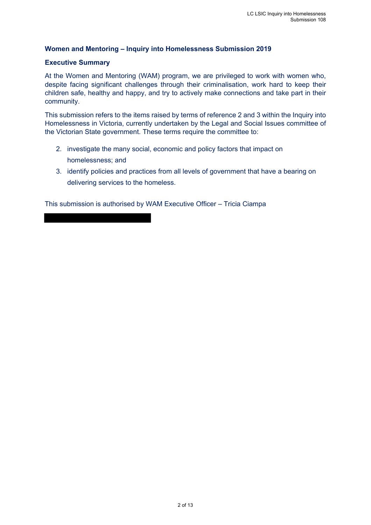## **Women and Mentoring – Inquiry into Homelessness Submission 2019**

## **Executive Summary**

At the Women and Mentoring (WAM) program, we are privileged to work with women who, despite facing significant challenges through their criminalisation, work hard to keep their children safe, healthy and happy, and try to actively make connections and take part in their community.

This submission refers to the items raised by terms of reference 2 and 3 within the Inquiry into Homelessness in Victoria, currently undertaken by the Legal and Social Issues committee of the Victorian State government. These terms require the committee to:

- 2. investigate the many social, economic and policy factors that impact on homelessness; and
- 3. identify policies and practices from all levels of government that have a bearing on delivering services to the homeless.

This submission is authorised by WAM Executive Officer – Tricia Ciampa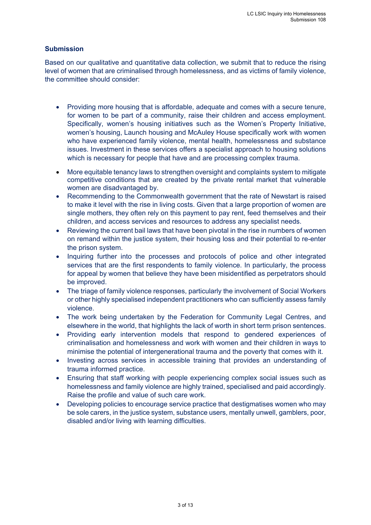## **Submission**

Based on our qualitative and quantitative data collection, we submit that to reduce the rising level of women that are criminalised through homelessness, and as victims of family violence, the committee should consider:

- Providing more housing that is affordable, adequate and comes with a secure tenure, for women to be part of a community, raise their children and access employment. Specifically, women's housing initiatives such as the Women's Property Initiative, women's housing, Launch housing and McAuley House specifically work with women who have experienced family violence, mental health, homelessness and substance issues. Investment in these services offers a specialist approach to housing solutions which is necessary for people that have and are processing complex trauma.
- More equitable tenancy laws to strengthen oversight and complaints system to mitigate competitive conditions that are created by the private rental market that vulnerable women are disadvantaged by.
- Recommending to the Commonwealth government that the rate of Newstart is raised to make it level with the rise in living costs. Given that a large proportion of women are single mothers, they often rely on this payment to pay rent, feed themselves and their children, and access services and resources to address any specialist needs.
- Reviewing the current bail laws that have been pivotal in the rise in numbers of women on remand within the justice system, their housing loss and their potential to re-enter the prison system.
- Inquiring further into the processes and protocols of police and other integrated services that are the first respondents to family violence. In particularly, the process for appeal by women that believe they have been misidentified as perpetrators should be improved.
- The triage of family violence responses, particularly the involvement of Social Workers or other highly specialised independent practitioners who can sufficiently assess family violence.
- The work being undertaken by the Federation for Community Legal Centres, and elsewhere in the world, that highlights the lack of worth in short term prison sentences.
- Providing early intervention models that respond to gendered experiences of criminalisation and homelessness and work with women and their children in ways to minimise the potential of intergenerational trauma and the poverty that comes with it.
- Investing across services in accessible training that provides an understanding of trauma informed practice.
- Ensuring that staff working with people experiencing complex social issues such as homelessness and family violence are highly trained, specialised and paid accordingly. Raise the profile and value of such care work.
- Developing policies to encourage service practice that destigmatises women who may be sole carers, in the justice system, substance users, mentally unwell, gamblers, poor, disabled and/or living with learning difficulties.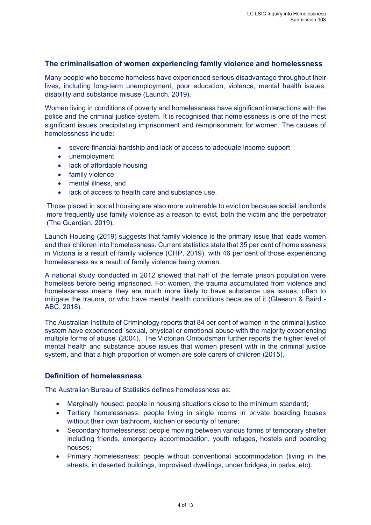## **The criminalisation of women experiencing family violence and homelessness**

Many people who become homeless have experienced serious disadvantage throughout their lives, including long-term unemployment, poor education, violence, mental health issues, disability and substance misuse (Launch, 2019).

Women living in conditions of poverty and homelessness have significant interactions with the police and the criminal justice system. It is recognised that homelessness is one of the most significant issues precipitating imprisonment and reimprisonment for women. The causes of homelessness include:

- severe financial hardship and lack of access to adequate income support
- unemployment
- lack of affordable housing
- family violence
- mental illness, and
- lack of access to health care and substance use.

Those placed in social housing are also more vulnerable to eviction because social landlords more frequently use family violence as a reason to evict, both the victim and the perpetrator (The Guardian, 2019).

Launch Housing (2019) suggests that family violence is the primary issue that leads women and their children into homelessness. Current statistics state that 35 per cent of homelessness in Victoria is a result of family violence (CHP, 2019), with 46 per cent of those experiencing homelessness as a result of family violence being women.

A national study conducted in 2012 showed that half of the female prison population were homeless before being imprisoned. For women, the trauma accumulated from violence and homelessness means they are much more likely to have substance use issues, often to mitigate the trauma, or who have mental health conditions because of it (Gleeson & Baird - ABC, 2018).

The Australian Institute of Criminology reports that 84 per cent of women in the criminal justice system have experienced 'sexual, physical or emotional abuse with the majority experiencing multiple forms of abuse' (2004). The Victorian Ombudsman further reports the higher level of mental health and substance abuse issues that women present with in the criminal justice system, and that a high proportion of women are sole carers of children (2015).

## **Definition of homelessness**

The Australian Bureau of Statistics defines homelessness as:

- Marginally housed: people in housing situations close to the minimum standard;
- Tertiary homelessness: people living in single rooms in private boarding houses without their own bathroom, kitchen or security of tenure;
- Secondary homelessness: people moving between various forms of temporary shelter including friends, emergency accommodation, youth refuges, hostels and boarding houses;
- Primary homelessness: people without conventional accommodation (living in the streets, in deserted buildings, improvised dwellings, under bridges, in parks, etc).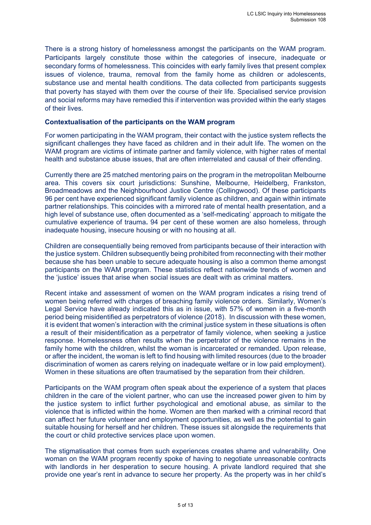There is a strong history of homelessness amongst the participants on the WAM program. Participants largely constitute those within the categories of insecure, inadequate or secondary forms of homelessness. This coincides with early family lives that present complex issues of violence, trauma, removal from the family home as children or adolescents, substance use and mental health conditions. The data collected from participants suggests that poverty has stayed with them over the course of their life. Specialised service provision and social reforms may have remedied this if intervention was provided within the early stages of their lives.

## **Contextualisation of the participants on the WAM program**

For women participating in the WAM program, their contact with the justice system reflects the significant challenges they have faced as children and in their adult life. The women on the WAM program are victims of intimate partner and family violence, with higher rates of mental health and substance abuse issues, that are often interrelated and causal of their offending.

Currently there are 25 matched mentoring pairs on the program in the metropolitan Melbourne area. This covers six court jurisdictions: Sunshine, Melbourne, Heidelberg, Frankston, Broadmeadows and the Neighbourhood Justice Centre (Collingwood). Of these participants 96 per cent have experienced significant family violence as children, and again within intimate partner relationships. This coincides with a mirrored rate of mental health presentation, and a high level of substance use, often documented as a 'self-medicating' approach to mitigate the cumulative experience of trauma**.** 94 per cent of these women are also homeless, through inadequate housing, insecure housing or with no housing at all.

Children are consequentially being removed from participants because of their interaction with the justice system. Children subsequently being prohibited from reconnecting with their mother because she has been unable to secure adequate housing is also a common theme amongst participants on the WAM program. These statistics reflect nationwide trends of women and the 'justice' issues that arise when social issues are dealt with as criminal matters.

Recent intake and assessment of women on the WAM program indicates a rising trend of women being referred with charges of breaching family violence orders. Similarly, Women's Legal Service have already indicated this as in issue, with 57% of women in a five-month period being misidentified as perpetrators of violence (2018). In discussion with these women, it is evident that women's interaction with the criminal justice system in these situations is often a result of their misidentification as a perpetrator of family violence, when seeking a justice response. Homelessness often results when the perpetrator of the violence remains in the family home with the children, whilst the woman is incarcerated or remanded. Upon release, or after the incident, the woman is left to find housing with limited resources (due to the broader discrimination of women as carers relying on inadequate welfare or in low paid employment). Women in these situations are often traumatised by the separation from their children.

Participants on the WAM program often speak about the experience of a system that places children in the care of the violent partner, who can use the increased power given to him by the justice system to inflict further psychological and emotional abuse, as similar to the violence that is inflicted within the home. Women are then marked with a criminal record that can affect her future volunteer and employment opportunities, as well as the potential to gain suitable housing for herself and her children. These issues sit alongside the requirements that the court or child protective services place upon women.

The stigmatisation that comes from such experiences creates shame and vulnerability. One woman on the WAM program recently spoke of having to negotiate unreasonable contracts with landlords in her desperation to secure housing. A private landlord required that she provide one year's rent in advance to secure her property. As the property was in her child's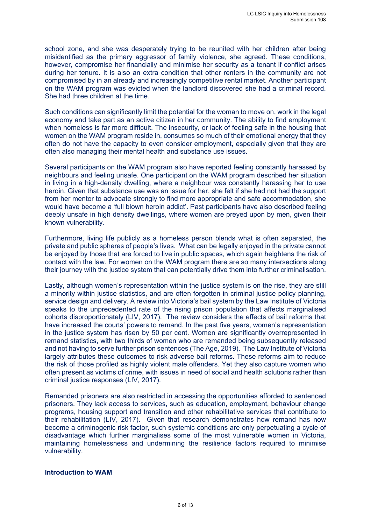school zone, and she was desperately trying to be reunited with her children after being misidentified as the primary aggressor of family violence, she agreed. These conditions, however, compromise her financially and minimise her security as a tenant if conflict arises during her tenure. It is also an extra condition that other renters in the community are not compromised by in an already and increasingly competitive rental market. Another participant on the WAM program was evicted when the landlord discovered she had a criminal record. She had three children at the time.

Such conditions can significantly limit the potential for the woman to move on, work in the legal economy and take part as an active citizen in her community. The ability to find employment when homeless is far more difficult. The insecurity, or lack of feeling safe in the housing that women on the WAM program reside in, consumes so much of their emotional energy that they often do not have the capacity to even consider employment, especially given that they are often also managing their mental health and substance use issues.

Several participants on the WAM program also have reported feeling constantly harassed by neighbours and feeling unsafe. One participant on the WAM program described her situation in living in a high-density dwelling, where a neighbour was constantly harassing her to use heroin. Given that substance use was an issue for her, she felt if she had not had the support from her mentor to advocate strongly to find more appropriate and safe accommodation, she would have become a 'full blown heroin addict'. Past participants have also described feeling deeply unsafe in high density dwellings, where women are preyed upon by men, given their known vulnerability.

Furthermore, living life publicly as a homeless person blends what is often separated, the private and public spheres of people's lives. What can be legally enjoyed in the private cannot be enjoyed by those that are forced to live in public spaces, which again heightens the risk of contact with the law. For women on the WAM program there are so many intersections along their journey with the justice system that can potentially drive them into further criminalisation.

Lastly, although women's representation within the justice system is on the rise, they are still a minority within justice statistics, and are often forgotten in criminal justice policy planning, service design and delivery. A review into Victoria's bail system by the Law Institute of Victoria speaks to the unprecedented rate of the rising prison population that affects marginalised cohorts disproportionately (LIV, 2017). The review considers the effects of bail reforms that have increased the courts' powers to remand. In the past five years, women's representation in the justice system has risen by 50 per cent. Women are significantly overrepresented in remand statistics, with two thirds of women who are remanded being subsequently released and not having to serve further prison sentences (The Age, 2019). The Law Institute of Victoria largely attributes these outcomes to risk-adverse bail reforms. These reforms aim to reduce the risk of those profiled as highly violent male offenders. Yet they also capture women who often present as victims of crime, with issues in need of social and health solutions rather than criminal justice responses (LIV, 2017).

Remanded prisoners are also restricted in accessing the opportunities afforded to sentenced prisoners. They lack access to services, such as education, employment, behaviour change programs, housing support and transition and other rehabilitative services that contribute to their rehabilitation (LIV, 2017). Given that research demonstrates how remand has now become a criminogenic risk factor, such systemic conditions are only perpetuating a cycle of disadvantage which further marginalises some of the most vulnerable women in Victoria, maintaining homelessness and undermining the resilience factors required to minimise vulnerability.

#### **Introduction to WAM**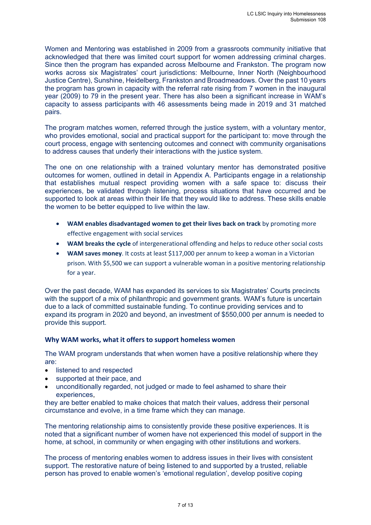Women and Mentoring was established in 2009 from a grassroots community initiative that acknowledged that there was limited court support for women addressing criminal charges. Since then the program has expanded across Melbourne and Frankston. The program now works across six Magistrates' court jurisdictions: Melbourne, Inner North (Neighbourhood Justice Centre), Sunshine, Heidelberg, Frankston and Broadmeadows. Over the past 10 years the program has grown in capacity with the referral rate rising from 7 women in the inaugural year (2009) to 79 in the present year. There has also been a significant increase in WAM's capacity to assess participants with 46 assessments being made in 2019 and 31 matched pairs.

The program matches women, referred through the justice system, with a voluntary mentor, who provides emotional, social and practical support for the participant to: move through the court process, engage with sentencing outcomes and connect with community organisations to address causes that underly their interactions with the justice system.

The one on one relationship with a trained voluntary mentor has demonstrated positive outcomes for women, outlined in detail in Appendix A. Participants engage in a relationship that establishes mutual respect providing women with a safe space to: discuss their experiences, be validated through listening, process situations that have occurred and be supported to look at areas within their life that they would like to address. These skills enable the women to be better equipped to live within the law.

- **WAM enables disadvantaged women to get their lives back on track** by promoting more effective engagement with social services
- **WAM breaks the cycle** of intergenerational offending and helps to reduce other social costs
- **WAM saves money**. It costs at least \$117,000 per annum to keep a woman in a Victorian prison. With \$5,500 we can support a vulnerable woman in a positive mentoring relationship for a year.

Over the past decade, WAM has expanded its services to six Magistrates' Courts precincts with the support of a mix of philanthropic and government grants. WAM's future is uncertain due to a lack of committed sustainable funding. To continue providing services and to expand its program in 2020 and beyond, an investment of \$550,000 per annum is needed to provide this support.

#### **Why WAM works, what it offers to support homeless women**

The WAM program understands that when women have a positive relationship where they are:

- listened to and respected
- supported at their pace, and
- unconditionally regarded, not judged or made to feel ashamed to share their experiences,

they are better enabled to make choices that match their values, address their personal circumstance and evolve, in a time frame which they can manage.

The mentoring relationship aims to consistently provide these positive experiences. It is noted that a significant number of women have not experienced this model of support in the home, at school, in community or when engaging with other institutions and workers.

The process of mentoring enables women to address issues in their lives with consistent support. The restorative nature of being listened to and supported by a trusted, reliable person has proved to enable women's 'emotional regulation', develop positive coping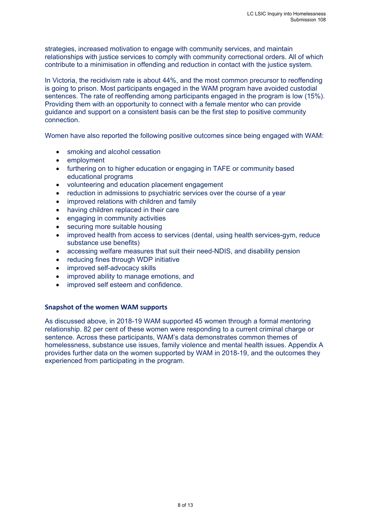strategies, increased motivation to engage with community services, and maintain relationships with justice services to comply with community correctional orders. All of which contribute to a minimisation in offending and reduction in contact with the justice system.

In Victoria, the recidivism rate is about 44%, and the most common precursor to reoffending is going to prison. Most participants engaged in the WAM program have avoided custodial sentences. The rate of reoffending among participants engaged in the program is low (15%). Providing them with an opportunity to connect with a female mentor who can provide guidance and support on a consistent basis can be the first step to positive community connection.

Women have also reported the following positive outcomes since being engaged with WAM:

- smoking and alcohol cessation
- employment
- furthering on to higher education or engaging in TAFE or community based educational programs
- volunteering and education placement engagement
- reduction in admissions to psychiatric services over the course of a year
- improved relations with children and family
- having children replaced in their care
- engaging in community activities
- securing more suitable housing
- improved health from access to services (dental, using health services-gym, reduce substance use benefits)
- accessing welfare measures that suit their need-NDIS, and disability pension
- reducing fines through WDP initiative
- improved self-advocacy skills
- improved ability to manage emotions, and
- improved self esteem and confidence.

### **Snapshot of the women WAM supports**

As discussed above, in 2018-19 WAM supported 45 women through a formal mentoring relationship. 82 per cent of these women were responding to a current criminal charge or sentence. Across these participants, WAM's data demonstrates common themes of homelessness, substance use issues, family violence and mental health issues. Appendix A provides further data on the women supported by WAM in 2018-19, and the outcomes they experienced from participating in the program.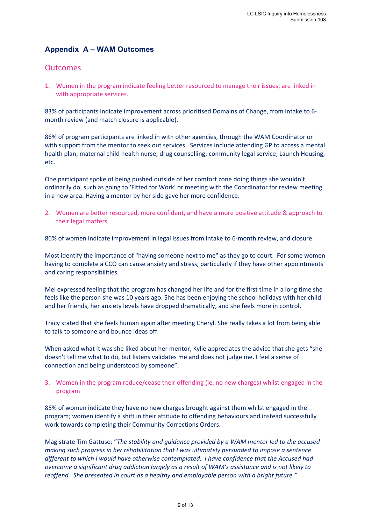# **Appendix A – WAM Outcomes**

## **Outcomes**

1. Women in the program indicate feeling better resourced to manage their issues; are linked in with appropriate services.

83% of participants indicate improvement across prioritised Domains of Change, from intake to 6month review (and match closure is applicable).

86% of program participants are linked in with other agencies, through the WAM Coordinator or with support from the mentor to seek out services. Services include attending GP to access a mental health plan; maternal child health nurse; drug counselling; community legal service; Launch Housing, etc.

One participant spoke of being pushed outside of her comfort zone doing things she wouldn't ordinarily do, such as going to 'Fitted for Work' or meeting with the Coordinator for review meeting in a new area. Having a mentor by her side gave her more confidence.

2. Women are better resourced, more confident, and have a more positive attitude & approach to their legal matters

86% of women indicate improvement in legal issues from intake to 6-month review, and closure.

Most identify the importance of "having someone next to me" as they go to court. For some women having to complete a CCO can cause anxiety and stress, particularly if they have other appointments and caring responsibilities.

Mel expressed feeling that the program has changed her life and for the first time in a long time she feels like the person she was 10 years ago. She has been enjoying the school holidays with her child and her friends, her anxiety levels have dropped dramatically, and she feels more in control.

Tracy stated that she feels human again after meeting Cheryl. She really takes a lot from being able to talk to someone and bounce ideas off.

When asked what it was she liked about her mentor, Kylie appreciates the advice that she gets "she doesn't tell me what to do, but listens validates me and does not judge me. I feel a sense of connection and being understood by someone".

## 3. Women in the program reduce/cease their offending (ie, no new charges) whilst engaged in the program

85% of women indicate they have no new charges brought against them whilst engaged in the program; women identify a shift in their attitude to offending behaviours and instead successfully work towards completing their Community Corrections Orders.

Magistrate Tim Gattuso: "*The stability and guidance provided by a WAM mentor led to the accused making such progress in her rehabilitation that I was ultimately persuaded to impose a sentence different to which I would have otherwise contemplated. I have confidence that the Accused had overcome a significant drug addiction largely as a result of WAM's assistance and is not likely to reoffend. She presented in court as a healthy and employable person with a bright future."*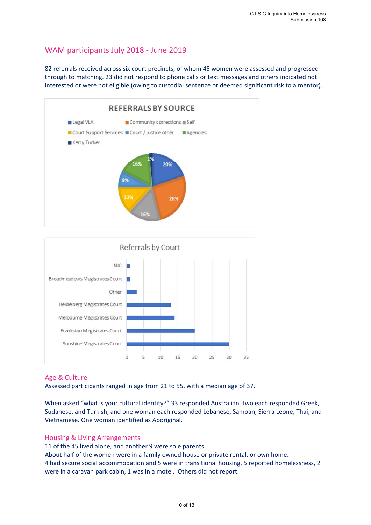# WAM participants July 2018 ‐ June 2019

82 referrals received across six court precincts, of whom 45 women were assessed and progressed through to matching. 23 did not respond to phone calls or text messages and others indicated not interested or were not eligible (owing to custodial sentence or deemed significant risk to a mentor).





## Age & Culture

Assessed participants ranged in age from 21 to 55, with a median age of 37.

When asked "what is your cultural identity?" 33 responded Australian, two each responded Greek, Sudanese, and Turkish, and one woman each responded Lebanese, Samoan, Sierra Leone, Thai, and Vietnamese. One woman identified as Aboriginal.

## Housing & Living Arrangements

11 of the 45 lived alone, and another 9 were sole parents.

About half of the women were in a family owned house or private rental, or own home. 4 had secure social accommodation and 5 were in transitional housing. 5 reported homelessness, 2 were in a caravan park cabin, 1 was in a motel. Others did not report.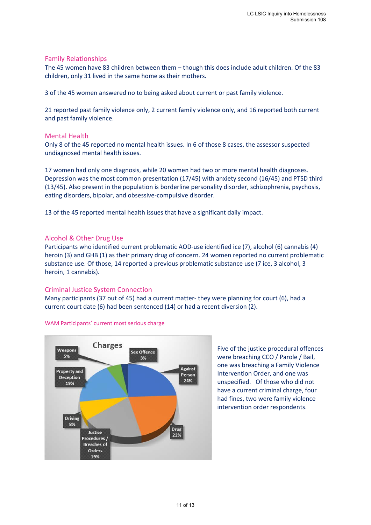#### Family Relationships

The 45 women have 83 children between them – though this does include adult children. Of the 83 children, only 31 lived in the same home as their mothers.

3 of the 45 women answered no to being asked about current or past family violence.

21 reported past family violence only, 2 current family violence only, and 16 reported both current and past family violence.

#### Mental Health

Only 8 of the 45 reported no mental health issues. In 6 of those 8 cases, the assessor suspected undiagnosed mental health issues.

17 women had only one diagnosis, while 20 women had two or more mental health diagnoses. Depression was the most common presentation (17/45) with anxiety second (16/45) and PTSD third (13/45). Also present in the population is borderline personality disorder, schizophrenia, psychosis, eating disorders, bipolar, and obsessive‐compulsive disorder.

13 of the 45 reported mental health issues that have a significant daily impact.

#### Alcohol & Other Drug Use

Participants who identified current problematic AOD‐use identified ice (7), alcohol (6) cannabis (4) heroin (3) and GHB (1) as their primary drug of concern. 24 women reported no current problematic substance use. Of those, 14 reported a previous problematic substance use (7 ice, 3 alcohol, 3 heroin, 1 cannabis).

#### Criminal Justice System Connection

Many participants (37 out of 45) had a current matter-they were planning for court (6), had a current court date (6) had been sentenced (14) or had a recent diversion (2).



#### WAM Participants' current most serious charge

Five of the justice procedural offences were breaching CCO / Parole / Bail, one was breaching a Family Violence Intervention Order, and one was unspecified. Of those who did not have a current criminal charge, four had fines, two were family violence intervention order respondents.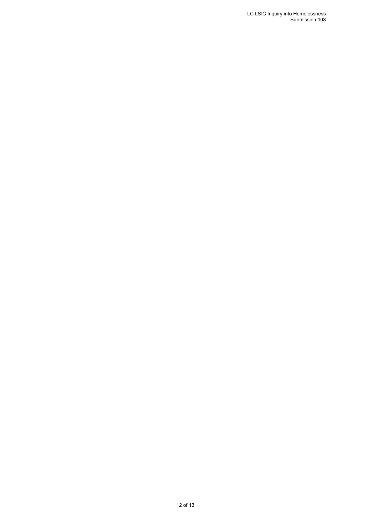LC LSIC Inquiry into Homelessness Submission 108